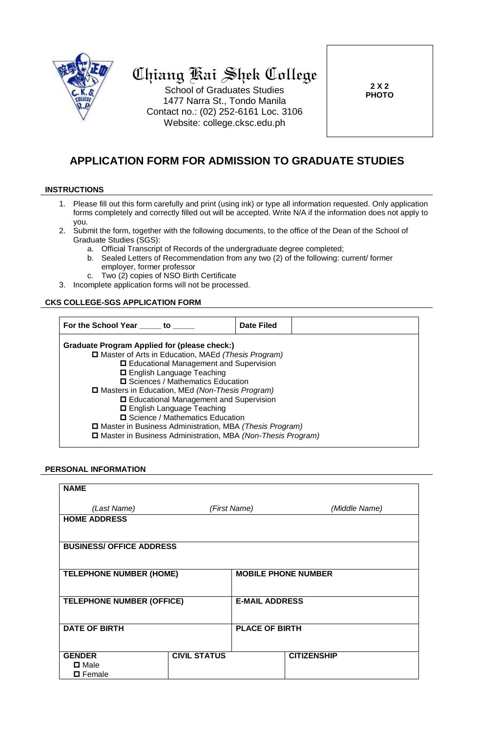

# Chiang Kai Shek College

School of Graduates Studies 1477 Narra St., Tondo Manila Contact no.: (02) 252-6161 Loc. 3106 Website: college.cksc.edu.ph

**2 X 2 PHOTO**

# **APPLICATION FORM FOR ADMISSION TO GRADUATE STUDIES**

#### **INSTRUCTIONS**

- 1. Please fill out this form carefully and print (using ink) or type all information requested. Only application forms completely and correctly filled out will be accepted. Write N/A if the information does not apply to you.
- 2. Submit the form, together with the following documents, to the office of the Dean of the School of Graduate Studies (SGS):
	- a. Official Transcript of Records of the undergraduate degree completed;
	- b. Sealed Letters of Recommendation from any two (2) of the following: current/ former employer, former professor
	- c. Two (2) copies of NSO Birth Certificate
- 3. Incomplete application forms will not be processed.

# **CKS COLLEGE-SGS APPLICATION FORM**

| For the School Year _____ to ____                             | Date Filed |  |  |
|---------------------------------------------------------------|------------|--|--|
| Graduate Program Applied for (please check:)                  |            |  |  |
| □ Master of Arts in Education, MAEd (Thesis Program)          |            |  |  |
| □ Educational Management and Supervision                      |            |  |  |
| □ English Language Teaching                                   |            |  |  |
| <b>□</b> Sciences / Mathematics Education                     |            |  |  |
| □ Masters in Education, MEd (Non-Thesis Program)              |            |  |  |
| □ Educational Management and Supervision                      |            |  |  |
| □ English Language Teaching                                   |            |  |  |
| □ Science / Mathematics Education                             |            |  |  |
| □ Master in Business Administration, MBA (Thesis Program)     |            |  |  |
| □ Master in Business Administration, MBA (Non-Thesis Program) |            |  |  |

#### **PERSONAL INFORMATION**

| <b>NAME</b>                      |                     |                            |                    |  |
|----------------------------------|---------------------|----------------------------|--------------------|--|
| (Last Name)                      |                     | (First Name)               | (Middle Name)      |  |
| <b>HOME ADDRESS</b>              |                     |                            |                    |  |
| <b>BUSINESS/ OFFICE ADDRESS</b>  |                     |                            |                    |  |
| <b>TELEPHONE NUMBER (HOME)</b>   |                     | <b>MOBILE PHONE NUMBER</b> |                    |  |
| <b>TELEPHONE NUMBER (OFFICE)</b> |                     | <b>E-MAIL ADDRESS</b>      |                    |  |
| <b>DATE OF BIRTH</b>             |                     | <b>PLACE OF BIRTH</b>      |                    |  |
| <b>GENDER</b><br>$\square$ Male  | <b>CIVIL STATUS</b> |                            | <b>CITIZENSHIP</b> |  |
| <b>□</b> Female                  |                     |                            |                    |  |